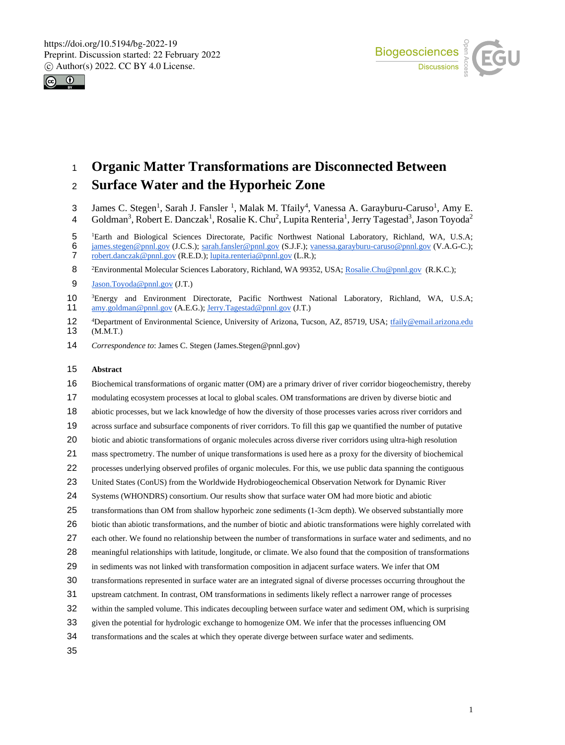



# **Organic Matter Transformations are Disconnected Between**

# **Surface Water and the Hyporheic Zone**

- 3 James C. Stegen<sup>1</sup>, Sarah J. Fansler<sup>1</sup>, Malak M. Tfaily<sup>4</sup>, Vanessa A. Garayburu-Caruso<sup>1</sup>, Amy E.
- 4 Goldman<sup>3</sup>, Robert E. Danczak<sup>1</sup>, Rosalie K. Chu<sup>2</sup>, Lupita Renteria<sup>1</sup>, Jerry Tagestad<sup>3</sup>, Jason Toyoda<sup>2</sup>
- <sup>1</sup> Earth and Biological Sciences Directorate, Pacific Northwest National Laboratory, Richland, WA, U.S.A;

- Jason.Toyoda@pnnl.gov (J.T.)
- <sup>3</sup> Energy and Environment Directorate, Pacific Northwest National Laboratory, Richland, WA, U.S.A;<br>
<sup>3</sup> 11 amy.goldman@pnnl.gov (A.E.G.); Jerry.Tagestad@pnnl.gov (J.T.) amy.goldman@pnnl.gov (A.E.G.); Jerry.Tagestad@pnnl.gov (J.T.)
- 12 <sup>4</sup>Department of Environmental Science, University of Arizona, Tucson, AZ, 85719, USA; the state mail.arizona.edu (M.M.T.)  $(M.M.T.)$
- *Correspondence to*: James C. Stegen (James.Stegen@pnnl.gov)

#### **Abstract**

- Biochemical transformations of organic matter (OM) are a primary driver of river corridor biogeochemistry, thereby
- modulating ecosystem processes at local to global scales. OM transformations are driven by diverse biotic and
- abiotic processes, but we lack knowledge of how the diversity of those processes varies across river corridors and
- across surface and subsurface components of river corridors. To fill this gap we quantified the number of putative
- biotic and abiotic transformations of organic molecules across diverse river corridors using ultra-high resolution
- mass spectrometry. The number of unique transformations is used here as a proxy for the diversity of biochemical
- processes underlying observed profiles of organic molecules. For this, we use public data spanning the contiguous
- United States (ConUS) from the Worldwide Hydrobiogeochemical Observation Network for Dynamic River
- Systems (WHONDRS) consortium. Our results show that surface water OM had more biotic and abiotic
- transformations than OM from shallow hyporheic zone sediments (1-3cm depth). We observed substantially more
- biotic than abiotic transformations, and the number of biotic and abiotic transformations were highly correlated with
- each other. We found no relationship between the number of transformations in surface water and sediments, and no
- meaningful relationships with latitude, longitude, or climate. We also found that the composition of transformations
- in sediments was not linked with transformation composition in adjacent surface waters. We infer that OM
- transformations represented in surface water are an integrated signal of diverse processes occurring throughout the
- upstream catchment. In contrast, OM transformations in sediments likely reflect a narrower range of processes
- within the sampled volume. This indicates decoupling between surface water and sediment OM, which is surprising
- given the potential for hydrologic exchange to homogenize OM. We infer that the processes influencing OM
- transformations and the scales at which they operate diverge between surface water and sediments.

<sup>6</sup> james.stegen@pnnl.gov (J.C.S.); sarah.fansler@pnnl.gov (S.J.F.); vanessa.garayburu-caruso@pnnl.gov (V.A.G-C.);<br>7 robert danczak@pnnl.gov (R.E.D.); lupita renteria@pnnl.gov (L.R.); robert.danczak@pnnl.gov (R.E.D.); lupita.renteria@pnnl.gov (L.R.);

<sup>8 &</sup>lt;sup>2</sup> Environmental Molecular Sciences Laboratory, Richland, WA 99352, USA; Rosalie.Chu@pnnl.gov (R.K.C.);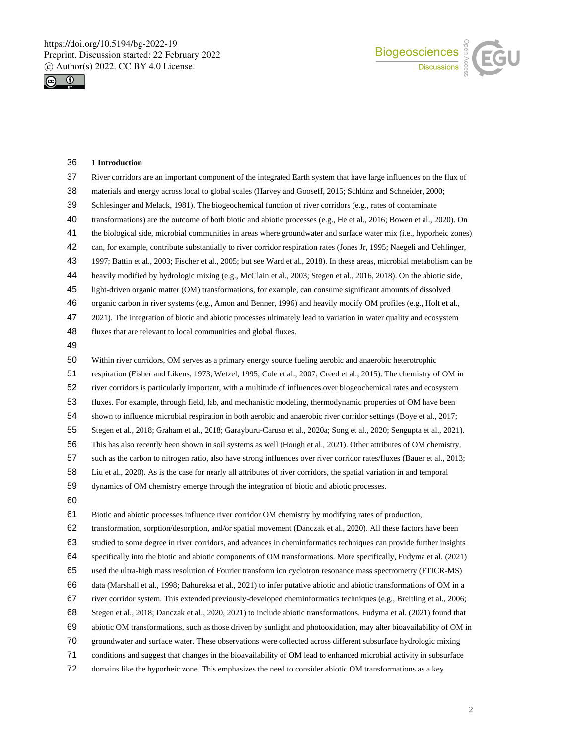



## **1 Introduction**

| 37 | River corridors are an important component of the integrated Earth system that have large influences on the flux of      |
|----|--------------------------------------------------------------------------------------------------------------------------|
| 38 | materials and energy across local to global scales (Harvey and Gooseff, 2015; Schlünz and Schneider, 2000;               |
| 39 | Schlesinger and Melack, 1981). The biogeochemical function of river corridors (e.g., rates of contaminate                |
| 40 | transformations) are the outcome of both biotic and abiotic processes (e.g., He et al., 2016; Bowen et al., 2020). On    |
| 41 | the biological side, microbial communities in areas where groundwater and surface water mix (i.e., hyporheic zones)      |
| 42 | can, for example, contribute substantially to river corridor respiration rates (Jones Jr, 1995; Naegeli and Uehlinger,   |
| 43 | 1997; Battin et al., 2003; Fischer et al., 2005; but see Ward et al., 2018). In these areas, microbial metabolism can be |
| 44 | heavily modified by hydrologic mixing (e.g., McClain et al., 2003; Stegen et al., 2016, 2018). On the abiotic side,      |
| 45 | light-driven organic matter (OM) transformations, for example, can consume significant amounts of dissolved              |
| 46 | organic carbon in river systems (e.g., Amon and Benner, 1996) and heavily modify OM profiles (e.g., Holt et al.,         |
| 47 | 2021). The integration of biotic and abiotic processes ultimately lead to variation in water quality and ecosystem       |
| 48 | fluxes that are relevant to local communities and global fluxes.                                                         |
| 49 |                                                                                                                          |
| 50 | Within river corridors, OM serves as a primary energy source fueling aerobic and anaerobic heterotrophic                 |
| 51 | respiration (Fisher and Likens, 1973; Wetzel, 1995; Cole et al., 2007; Creed et al., 2015). The chemistry of OM in       |
| 52 | river corridors is particularly important, with a multitude of influences over biogeochemical rates and ecosystem        |
| 53 | fluxes. For example, through field, lab, and mechanistic modeling, thermodynamic properties of OM have been              |
| 54 | shown to influence microbial respiration in both aerobic and anaerobic river corridor settings (Boye et al., 2017;       |
| 55 | Stegen et al., 2018; Graham et al., 2018; Garayburu-Caruso et al., 2020a; Song et al., 2020; Sengupta et al., 2021).     |
| 56 | This has also recently been shown in soil systems as well (Hough et al., 2021). Other attributes of OM chemistry,        |
| 57 | such as the carbon to nitrogen ratio, also have strong influences over river corridor rates/fluxes (Bauer et al., 2013;  |
| 58 | Liu et al., 2020). As is the case for nearly all attributes of river corridors, the spatial variation in and temporal    |
| 59 | dynamics of OM chemistry emerge through the integration of biotic and abiotic processes.                                 |
| 60 |                                                                                                                          |
| 61 | Biotic and abiotic processes influence river corridor OM chemistry by modifying rates of production,                     |
| 62 | transformation, sorption/desorption, and/or spatial movement (Danczak et al., 2020). All these factors have been         |
| 63 | studied to some degree in river corridors, and advances in cheminformatics techniques can provide further insights       |
| 64 | specifically into the biotic and abiotic components of OM transformations. More specifically, Fudyma et al. (2021)       |
| 65 | used the ultra-high mass resolution of Fourier transform ion cyclotron resonance mass spectrometry (FTICR-MS)            |
| 66 | data (Marshall et al., 1998; Bahureksa et al., 2021) to infer putative abiotic and abiotic transformations of OM in a    |
| 67 | river corridor system. This extended previously-developed cheminformatics techniques (e.g., Breitling et al., 2006;      |
| 68 | Stegen et al., 2018; Danczak et al., 2020, 2021) to include abiotic transformations. Fudyma et al. (2021) found that     |
| 69 | abiotic OM transformations, such as those driven by sunlight and photooxidation, may alter bioavailability of OM in      |
| 70 | groundwater and surface water. These observations were collected across different subsurface hydrologic mixing           |
| 71 | conditions and suggest that changes in the bioavailability of OM lead to enhanced microbial activity in subsurface       |
| 72 | domains like the hyporheic zone. This emphasizes the need to consider abiotic OM transformations as a key                |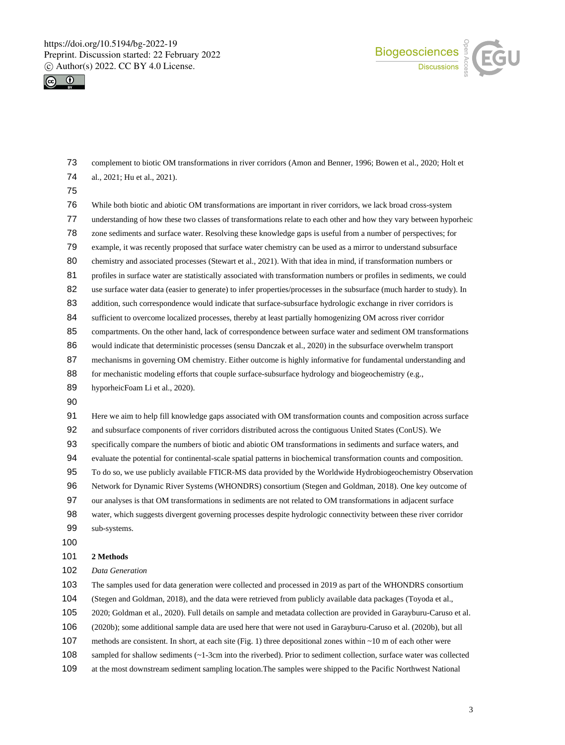



 complement to biotic OM transformations in river corridors (Amon and Benner, 1996; Bowen et al., 2020; Holt et al., 2021; Hu et al., 2021).

 While both biotic and abiotic OM transformations are important in river corridors, we lack broad cross-system understanding of how these two classes of transformations relate to each other and how they vary between hyporheic zone sediments and surface water. Resolving these knowledge gaps is useful from a number of perspectives; for example, it was recently proposed that surface water chemistry can be used as a mirror to understand subsurface 80 chemistry and associated processes (Stewart et al., 2021). With that idea in mind, if transformation numbers or profiles in surface water are statistically associated with transformation numbers or profiles in sediments, we could 82 use surface water data (easier to generate) to infer properties/processes in the subsurface (much harder to study). In 83 addition, such correspondence would indicate that surface-subsurface hydrologic exchange in river corridors is 84 sufficient to overcome localized processes, thereby at least partially homogenizing OM across river corridor 85 compartments. On the other hand, lack of correspondence between surface water and sediment OM transformations would indicate that deterministic processes (sensu Danczak et al., 2020) in the subsurface overwhelm transport 87 mechanisms in governing OM chemistry. Either outcome is highly informative for fundamental understanding and 88 for mechanistic modeling efforts that couple surface-subsurface hydrology and biogeochemistry (e.g., hyporheicFoam Li et al., 2020). Here we aim to help fill knowledge gaps associated with OM transformation counts and composition across surface and subsurface components of river corridors distributed across the contiguous United States (ConUS). We specifically compare the numbers of biotic and abiotic OM transformations in sediments and surface waters, and evaluate the potential for continental-scale spatial patterns in biochemical transformation counts and composition. To do so, we use publicly available FTICR-MS data provided by the Worldwide Hydrobiogeochemistry Observation Network for Dynamic River Systems (WHONDRS) consortium (Stegen and Goldman, 2018). One key outcome of our analyses is that OM transformations in sediments are not related to OM transformations in adjacent surface water, which suggests divergent governing processes despite hydrologic connectivity between these river corridor sub-systems. **2 Methods** *Data Generation* 

The samples used for data generation were collected and processed in 2019 as part of the WHONDRS consortium

(Stegen and Goldman, 2018), and the data were retrieved from publicly available data packages (Toyoda et al.,

2020; Goldman et al., 2020). Full details on sample and metadata collection are provided in Garayburu-Caruso et al.

(2020b); some additional sample data are used here that were not used in Garayburu-Caruso et al. (2020b), but all

methods are consistent. In short, at each site (Fig. 1) three depositional zones within ~10 m of each other were

sampled for shallow sediments (~1-3cm into the riverbed). Prior to sediment collection, surface water was collected

at the most downstream sediment sampling location.The samples were shipped to the Pacific Northwest National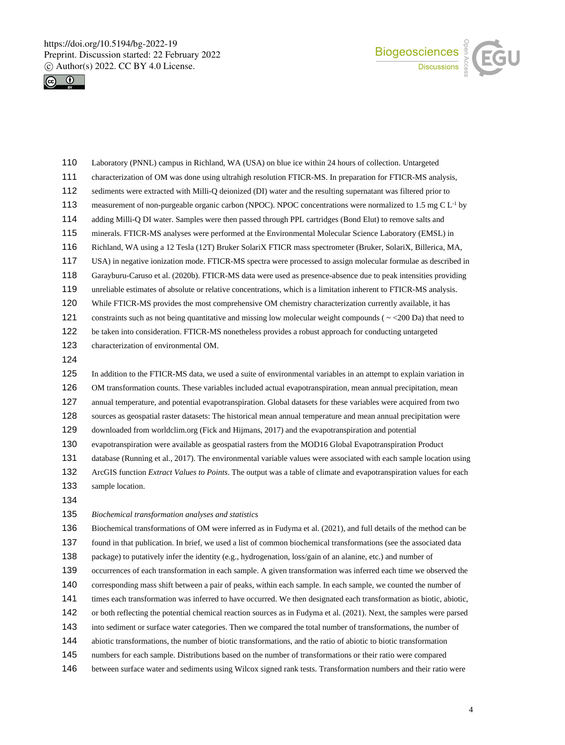



- Laboratory (PNNL) campus in Richland, WA (USA) on blue ice within 24 hours of collection. Untargeted characterization of OM was done using ultrahigh resolution FTICR-MS. In preparation for FTICR-MS analysis, sediments were extracted with Milli-Q deionized (DI) water and the resulting supernatant was filtered prior to 113 measurement of non-purgeable organic carbon (NPOC). NPOC concentrations were normalized to 1.5 mg C  $L<sup>-1</sup>$  by adding Milli-Q DI water. Samples were then passed through PPL cartridges (Bond Elut) to remove salts and minerals. FTICR-MS analyses were performed at the Environmental Molecular Science Laboratory (EMSL) in Richland, WA using a 12 Tesla (12T) Bruker SolariX FTICR mass spectrometer (Bruker, SolariX, Billerica, MA, USA) in negative ionization mode. FTICR-MS spectra were processed to assign molecular formulae as described in Garayburu-Caruso et al. (2020b). FTICR-MS data were used as presence-absence due to peak intensities providing unreliable estimates of absolute or relative concentrations, which is a limitation inherent to FTICR-MS analysis. While FTICR-MS provides the most comprehensive OM chemistry characterization currently available, it has 121 constraints such as not being quantitative and missing low molecular weight compounds ( $\sim$  <200 Da) that need to be taken into consideration. FTICR-MS nonetheless provides a robust approach for conducting untargeted characterization of environmental OM. In addition to the FTICR-MS data, we used a suite of environmental variables in an attempt to explain variation in OM transformation counts. These variables included actual evapotranspiration, mean annual precipitation, mean annual temperature, and potential evapotranspiration. Global datasets for these variables were acquired from two sources as geospatial raster datasets: The historical mean annual temperature and mean annual precipitation were downloaded from worldclim.org (Fick and Hijmans, 2017) and the evapotranspiration and potential evapotranspiration were available as geospatial rasters from the MOD16 Global Evapotranspiration Product database (Running et al., 2017). The environmental variable values were associated with each sample location using ArcGIS function *Extract Values to Points*. The output was a table of climate and evapotranspiration values for each
- sample location.
- 

*Biochemical transformation analyses and statistics*

Biochemical transformations of OM were inferred as in Fudyma et al. (2021), and full details of the method can be

found in that publication. In brief, we used a list of common biochemical transformations (see the associated data

package) to putatively infer the identity (e.g., hydrogenation, loss/gain of an alanine, etc.) and number of

occurrences of each transformation in each sample. A given transformation was inferred each time we observed the

corresponding mass shift between a pair of peaks, within each sample. In each sample, we counted the number of

times each transformation was inferred to have occurred. We then designated each transformation as biotic, abiotic,

 or both reflecting the potential chemical reaction sources as in Fudyma et al. (2021). Next, the samples were parsed into sediment or surface water categories. Then we compared the total number of transformations, the number of

- abiotic transformations, the number of biotic transformations, and the ratio of abiotic to biotic transformation
- numbers for each sample. Distributions based on the number of transformations or their ratio were compared
- between surface water and sediments using Wilcox signed rank tests. Transformation numbers and their ratio were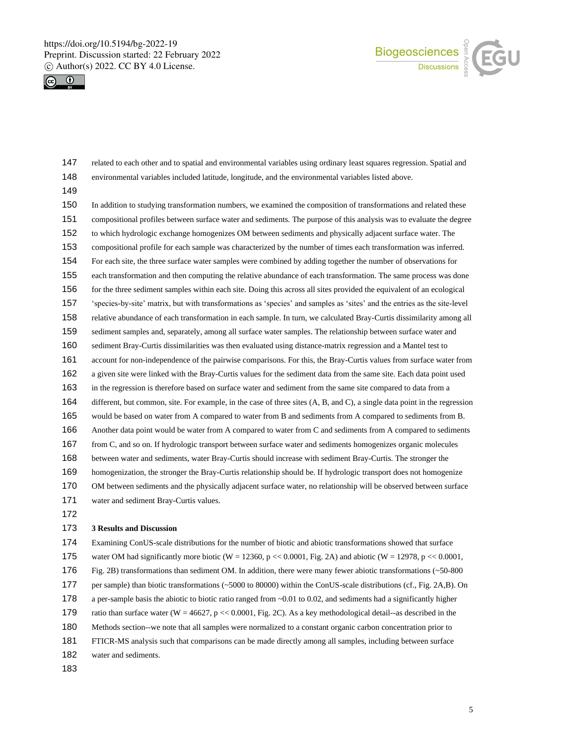



- related to each other and to spatial and environmental variables using ordinary least squares regression. Spatial and environmental variables included latitude, longitude, and the environmental variables listed above.
- 

 In addition to studying transformation numbers, we examined the composition of transformations and related these compositional profiles between surface water and sediments. The purpose of this analysis was to evaluate the degree to which hydrologic exchange homogenizes OM between sediments and physically adjacent surface water. The compositional profile for each sample was characterized by the number of times each transformation was inferred. For each site, the three surface water samples were combined by adding together the number of observations for each transformation and then computing the relative abundance of each transformation. The same process was done for the three sediment samples within each site. Doing this across all sites provided the equivalent of an ecological 'species-by-site' matrix, but with transformations as 'species' and samples as 'sites' and the entries as the site-level relative abundance of each transformation in each sample. In turn, we calculated Bray-Curtis dissimilarity among all sediment samples and, separately, among all surface water samples. The relationship between surface water and sediment Bray-Curtis dissimilarities was then evaluated using distance-matrix regression and a Mantel test to account for non-independence of the pairwise comparisons. For this, the Bray-Curtis values from surface water from a given site were linked with the Bray-Curtis values for the sediment data from the same site. Each data point used in the regression is therefore based on surface water and sediment from the same site compared to data from a different, but common, site. For example, in the case of three sites (A, B, and C), a single data point in the regression would be based on water from A compared to water from B and sediments from A compared to sediments from B. Another data point would be water from A compared to water from C and sediments from A compared to sediments from C, and so on. If hydrologic transport between surface water and sediments homogenizes organic molecules between water and sediments, water Bray-Curtis should increase with sediment Bray-Curtis. The stronger the homogenization, the stronger the Bray-Curtis relationship should be. If hydrologic transport does not homogenize OM between sediments and the physically adjacent surface water, no relationship will be observed between surface water and sediment Bray-Curtis values. 

#### **3 Results and Discussion**

- Examining ConUS-scale distributions for the number of biotic and abiotic transformations showed that surface
- 175 water OM had significantly more biotic (W = 12360, p << 0.0001, Fig. 2A) and abiotic (W = 12978, p << 0.0001,
- Fig. 2B) transformations than sediment OM. In addition, there were many fewer abiotic transformations (~50-800
- per sample) than biotic transformations (~5000 to 80000) within the ConUS-scale distributions (cf., Fig. 2A,B). On
- a per-sample basis the abiotic to biotic ratio ranged from ~0.01 to 0.02, and sediments had a significantly higher
- ratio than surface water (W = 46627, p << 0.0001, Fig. 2C). As a key methodological detail--as described in the
- Methods section--we note that all samples were normalized to a constant organic carbon concentration prior to
- FTICR-MS analysis such that comparisons can be made directly among all samples, including between surface
- water and sediments.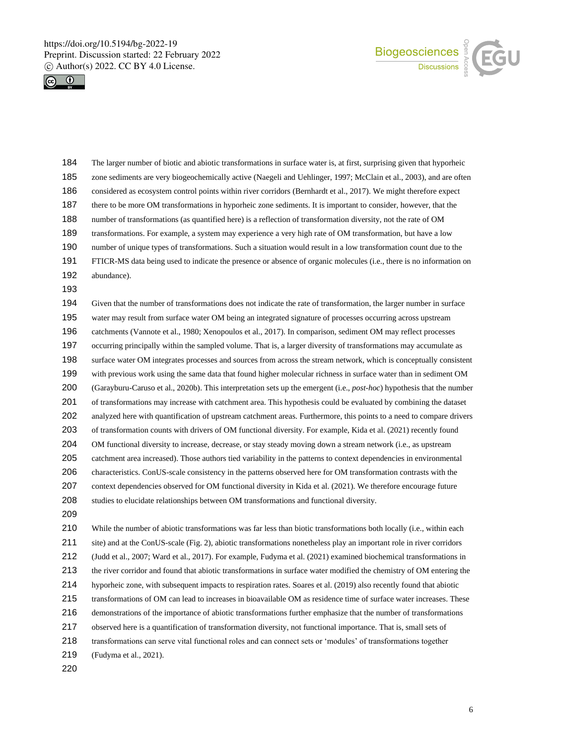



 The larger number of biotic and abiotic transformations in surface water is, at first, surprising given that hyporheic zone sediments are very biogeochemically active (Naegeli and Uehlinger, 1997; McClain et al., 2003), and are often considered as ecosystem control points within river corridors (Bernhardt et al., 2017). We might therefore expect there to be more OM transformations in hyporheic zone sediments. It is important to consider, however, that the number of transformations (as quantified here) is a reflection of transformation diversity, not the rate of OM transformations. For example, a system may experience a very high rate of OM transformation, but have a low number of unique types of transformations. Such a situation would result in a low transformation count due to the FTICR-MS data being used to indicate the presence or absence of organic molecules (i.e., there is no information on abundance). Given that the number of transformations does not indicate the rate of transformation, the larger number in surface water may result from surface water OM being an integrated signature of processes occurring across upstream catchments (Vannote et al., 1980; Xenopoulos et al., 2017). In comparison, sediment OM may reflect processes occurring principally within the sampled volume. That is, a larger diversity of transformations may accumulate as surface water OM integrates processes and sources from across the stream network, which is conceptually consistent with previous work using the same data that found higher molecular richness in surface water than in sediment OM (Garayburu-Caruso et al., 2020b). This interpretation sets up the emergent (i.e., *post-hoc*) hypothesis that the number of transformations may increase with catchment area. This hypothesis could be evaluated by combining the dataset analyzed here with quantification of upstream catchment areas. Furthermore, this points to a need to compare drivers of transformation counts with drivers of OM functional diversity. For example, Kida et al. (2021) recently found OM functional diversity to increase, decrease, or stay steady moving down a stream network (i.e., as upstream catchment area increased). Those authors tied variability in the patterns to context dependencies in environmental characteristics. ConUS-scale consistency in the patterns observed here for OM transformation contrasts with the context dependencies observed for OM functional diversity in Kida et al. (2021). We therefore encourage future studies to elucidate relationships between OM transformations and functional diversity. While the number of abiotic transformations was far less than biotic transformations both locally (i.e., within each site) and at the ConUS-scale (Fig. 2), abiotic transformations nonetheless play an important role in river corridors (Judd et al., 2007; Ward et al., 2017). For example, Fudyma et al. (2021) examined biochemical transformations in

the river corridor and found that abiotic transformations in surface water modified the chemistry of OM entering the

hyporheic zone, with subsequent impacts to respiration rates. Soares et al. (2019) also recently found that abiotic

transformations of OM can lead to increases in bioavailable OM as residence time of surface water increases. These

demonstrations of the importance of abiotic transformations further emphasize that the number of transformations

observed here is a quantification of transformation diversity, not functional importance. That is, small sets of

transformations can serve vital functional roles and can connect sets or 'modules' of transformations together

(Fudyma et al., 2021).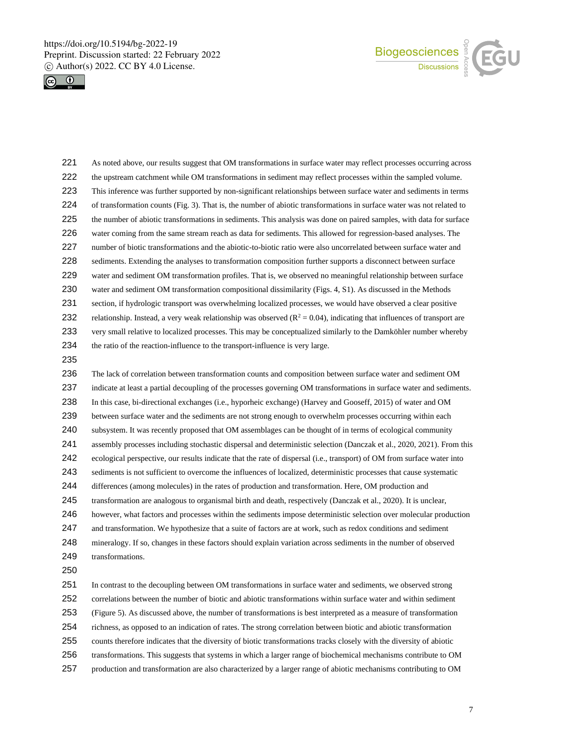



- As noted above, our results suggest that OM transformations in surface water may reflect processes occurring across the upstream catchment while OM transformations in sediment may reflect processes within the sampled volume. This inference was further supported by non-significant relationships between surface water and sediments in terms of transformation counts (Fig. 3). That is, the number of abiotic transformations in surface water was not related to the number of abiotic transformations in sediments. This analysis was done on paired samples, with data for surface water coming from the same stream reach as data for sediments. This allowed for regression-based analyses. The number of biotic transformations and the abiotic-to-biotic ratio were also uncorrelated between surface water and sediments. Extending the analyses to transformation composition further supports a disconnect between surface water and sediment OM transformation profiles. That is, we observed no meaningful relationship between surface water and sediment OM transformation compositional dissimilarity (Figs. 4, S1). As discussed in the Methods 231 section, if hydrologic transport was overwhelming localized processes, we would have observed a clear positive 232 relationship. Instead, a very weak relationship was observed  $(R^2 = 0.04)$ , indicating that influences of transport are very small relative to localized processes. This may be conceptualized similarly to the Damköhler number whereby the ratio of the reaction-influence to the transport-influence is very large. The lack of correlation between transformation counts and composition between surface water and sediment OM
- indicate at least a partial decoupling of the processes governing OM transformations in surface water and sediments. In this case, bi-directional exchanges (i.e., hyporheic exchange) (Harvey and Gooseff, 2015) of water and OM between surface water and the sediments are not strong enough to overwhelm processes occurring within each subsystem. It was recently proposed that OM assemblages can be thought of in terms of ecological community assembly processes including stochastic dispersal and deterministic selection (Danczak et al., 2020, 2021). From this ecological perspective, our results indicate that the rate of dispersal (i.e., transport) of OM from surface water into sediments is not sufficient to overcome the influences of localized, deterministic processes that cause systematic differences (among molecules) in the rates of production and transformation. Here, OM production and transformation are analogous to organismal birth and death, respectively (Danczak et al., 2020). It is unclear, however, what factors and processes within the sediments impose deterministic selection over molecular production and transformation. We hypothesize that a suite of factors are at work, such as redox conditions and sediment mineralogy. If so, changes in these factors should explain variation across sediments in the number of observed 249 transformations.
- 

 In contrast to the decoupling between OM transformations in surface water and sediments, we observed strong correlations between the number of biotic and abiotic transformations within surface water and within sediment (Figure 5). As discussed above, the number of transformations is best interpreted as a measure of transformation richness, as opposed to an indication of rates. The strong correlation between biotic and abiotic transformation counts therefore indicates that the diversity of biotic transformations tracks closely with the diversity of abiotic transformations. This suggests that systems in which a larger range of biochemical mechanisms contribute to OM production and transformation are also characterized by a larger range of abiotic mechanisms contributing to OM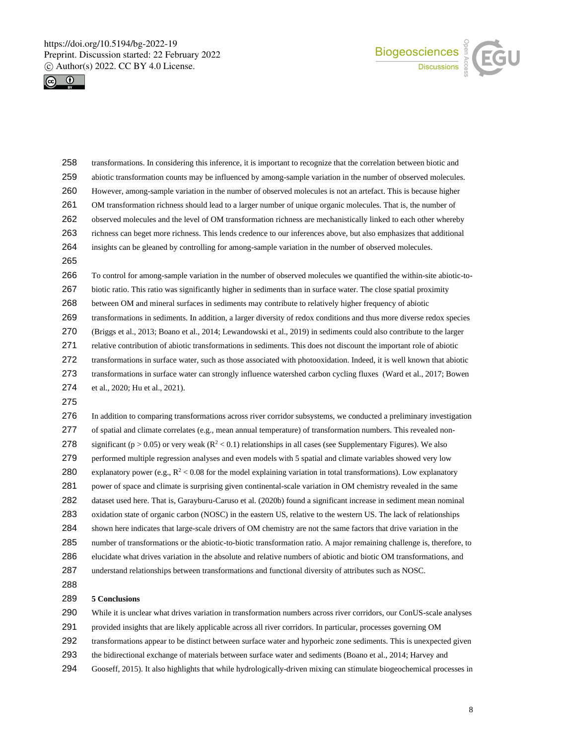



| 258 | transformations. In considering this inference, it is important to recognize that the correlation between biotic and   |
|-----|------------------------------------------------------------------------------------------------------------------------|
| 259 | abiotic transformation counts may be influenced by among-sample variation in the number of observed molecules.         |
| 260 | However, among-sample variation in the number of observed molecules is not an artefact. This is because higher         |
| 261 | OM transformation richness should lead to a larger number of unique organic molecules. That is, the number of          |
| 262 | observed molecules and the level of OM transformation richness are mechanistically linked to each other whereby        |
| 263 | richness can beget more richness. This lends credence to our inferences above, but also emphasizes that additional     |
| 264 | insights can be gleaned by controlling for among-sample variation in the number of observed molecules.                 |
| 265 |                                                                                                                        |
| 266 | To control for among-sample variation in the number of observed molecules we quantified the within-site abiotic-to-    |
| 267 | biotic ratio. This ratio was significantly higher in sediments than in surface water. The close spatial proximity      |
| 268 | between OM and mineral surfaces in sediments may contribute to relatively higher frequency of abiotic                  |
| 269 | transformations in sediments. In addition, a larger diversity of redox conditions and thus more diverse redox species  |
| 270 | (Briggs et al., 2013; Boano et al., 2014; Lewandowski et al., 2019) in sediments could also contribute to the larger   |
| 271 | relative contribution of abiotic transformations in sediments. This does not discount the important role of abiotic    |
| 272 | transformations in surface water, such as those associated with photooxidation. Indeed, it is well known that abiotic  |
| 273 | transformations in surface water can strongly influence watershed carbon cycling fluxes (Ward et al., 2017; Bowen      |
| 274 | et al., 2020; Hu et al., 2021).                                                                                        |
| 275 |                                                                                                                        |
| 276 | In addition to comparing transformations across river corridor subsystems, we conducted a preliminary investigation    |
| 277 | of spatial and climate correlates (e.g., mean annual temperature) of transformation numbers. This revealed non-        |
| 278 | significant ( $p > 0.05$ ) or very weak ( $R2 < 0.1$ ) relationships in all cases (see Supplementary Figures). We also |
| 279 | performed multiple regression analyses and even models with 5 spatial and climate variables showed very low            |
| 280 | explanatory power (e.g., $R^2$ < 0.08 for the model explaining variation in total transformations). Low explanatory    |
| 281 | power of space and climate is surprising given continental-scale variation in OM chemistry revealed in the same        |
| 282 | dataset used here. That is, Garayburu-Caruso et al. (2020b) found a significant increase in sediment mean nominal      |
| 283 | oxidation state of organic carbon (NOSC) in the eastern US, relative to the western US. The lack of relationships      |
| 284 | shown here indicates that large-scale drivers of OM chemistry are not the same factors that drive variation in the     |
| 285 | number of transformations or the abiotic-to-biotic transformation ratio. A major remaining challenge is, therefore, to |
| 286 | elucidate what drives variation in the absolute and relative numbers of abiotic and biotic OM transformations, and     |
| 287 | understand relationships between transformations and functional diversity of attributes such as NOSC.                  |

### **5 Conclusions**

 While it is unclear what drives variation in transformation numbers across river corridors, our ConUS-scale analyses provided insights that are likely applicable across all river corridors. In particular, processes governing OM transformations appear to be distinct between surface water and hyporheic zone sediments. This is unexpected given the bidirectional exchange of materials between surface water and sediments (Boano et al., 2014; Harvey and Gooseff, 2015). It also highlights that while hydrologically-driven mixing can stimulate biogeochemical processes in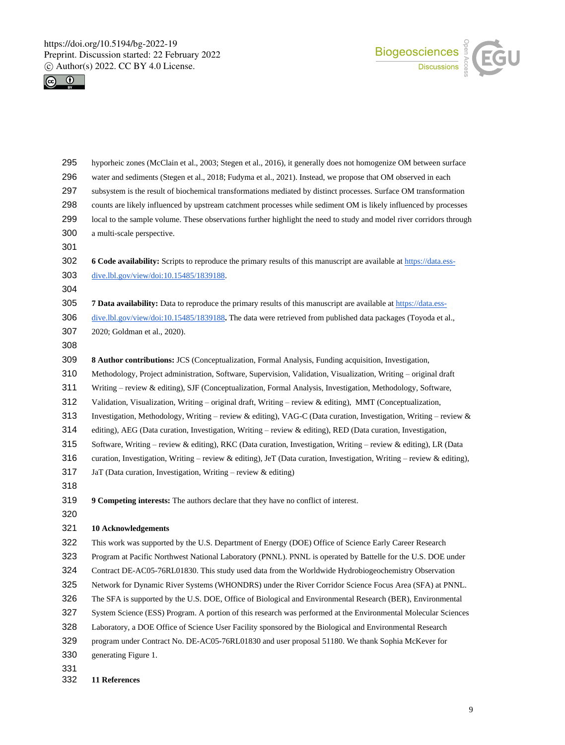



| 295 | hyporheic zones (McClain et al., 2003; Stegen et al., 2016), it generally does not homogenize OM between surface      |
|-----|-----------------------------------------------------------------------------------------------------------------------|
| 296 | water and sediments (Stegen et al., 2018; Fudyma et al., 2021). Instead, we propose that OM observed in each          |
| 297 | subsystem is the result of biochemical transformations mediated by distinct processes. Surface OM transformation      |
| 298 | counts are likely influenced by upstream catchment processes while sediment OM is likely influenced by processes      |
| 299 | local to the sample volume. These observations further highlight the need to study and model river corridors through  |
| 300 | a multi-scale perspective.                                                                                            |
| 301 |                                                                                                                       |
| 302 | 6 Code availability: Scripts to reproduce the primary results of this manuscript are available at https://data.ess-   |
| 303 | dive.lbl.gov/view/doi:10.15485/1839188.                                                                               |
| 304 |                                                                                                                       |
| 305 | 7 Data availability: Data to reproduce the primary results of this manuscript are available at https://data.ess-      |
| 306 | dive.lbl.gov/view/doi:10.15485/1839188. The data were retrieved from published data packages (Toyoda et al.,          |
| 307 | 2020; Goldman et al., 2020).                                                                                          |
| 308 |                                                                                                                       |
| 309 | 8 Author contributions: JCS (Conceptualization, Formal Analysis, Funding acquisition, Investigation,                  |
| 310 | Methodology, Project administration, Software, Supervision, Validation, Visualization, Writing – original draft       |
| 311 | Writing - review & editing), SJF (Conceptualization, Formal Analysis, Investigation, Methodology, Software,           |
| 312 | Validation, Visualization, Writing – original draft, Writing – review & editing), MMT (Conceptualization,             |
| 313 | Investigation, Methodology, Writing – review & editing), VAG-C (Data curation, Investigation, Writing – review &      |
| 314 | editing), AEG (Data curation, Investigation, Writing – review $\&$ editing), RED (Data curation, Investigation,       |
| 315 | Software, Writing - review & editing), RKC (Data curation, Investigation, Writing - review & editing), LR (Data       |
| 316 | curation, Investigation, Writing – review & editing), JeT (Data curation, Investigation, Writing – review & editing), |
| 317 | JaT (Data curation, Investigation, Writing – review $\&$ editing)                                                     |
| 318 |                                                                                                                       |
| 319 | 9 Competing interests: The authors declare that they have no conflict of interest.                                    |
| 320 |                                                                                                                       |
| 321 | <b>10 Acknowledgements</b>                                                                                            |
| 322 | This work was supported by the U.S. Department of Energy (DOE) Office of Science Early Career Research                |
| 323 | Program at Pacific Northwest National Laboratory (PNNL). PNNL is operated by Battelle for the U.S. DOE under          |
| 324 | Contract DE-AC05-76RL01830. This study used data from the Worldwide Hydrobiogeochemistry Observation                  |
| 325 | Network for Dynamic River Systems (WHONDRS) under the River Corridor Science Focus Area (SFA) at PNNL.                |
| 326 | The SFA is supported by the U.S. DOE, Office of Biological and Environmental Research (BER), Environmental            |
| 327 | System Science (ESS) Program. A portion of this research was performed at the Environmental Molecular Sciences        |
| 328 | Laboratory, a DOE Office of Science User Facility sponsored by the Biological and Environmental Research              |
| 329 | program under Contract No. DE-AC05-76RL01830 and user proposal 51180. We thank Sophia McKever for                     |
| 330 | generating Figure 1.                                                                                                  |
| 331 |                                                                                                                       |

**11 References**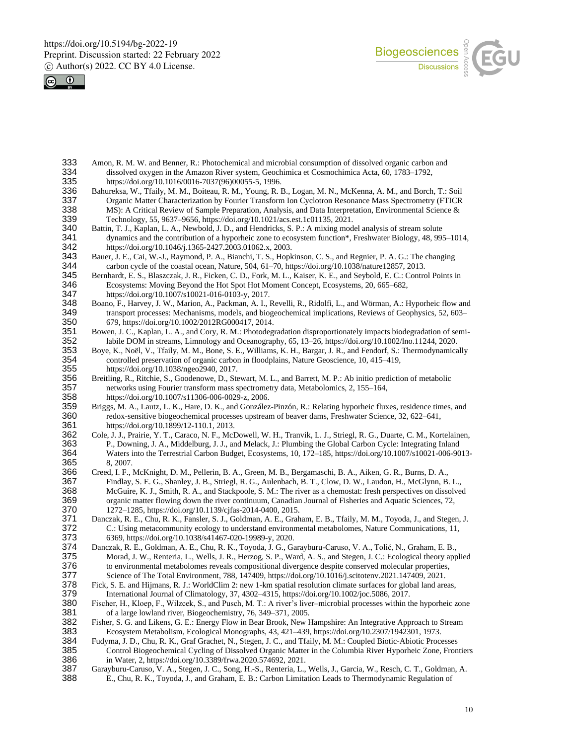



- 333 Amon, R. M. W. and Benner, R.: Photochemical and microbial consumption of dissolved organic carbon and dissolved oxygen in the Amazon River system. Geochimica et Cosmochimica Acta. 60. 1783–1792. 334 dissolved oxygen in the Amazon River system, Geochimica et Cosmochimica Acta, 60, 1783–1792, 335 https://doi.org/10.1016/0016-7037(96)00055-5, 1996.<br>336 Bahureksa, W., Tfaily, M. M., Boiteau, R. M., Young, R.
- 336 Bahureksa, W., Tfaily, M. M., Boiteau, R. M., Young, R. B., Logan, M. N., McKenna, A. M., and Borch, T.: Soil 337 Organic Matter Characterization by Fourier Transform Ion Cyclotron Resonance Mass Spectrometry (FTICR 338 MS): A Critical Review of Sample Preparation, Analysis, and Data Interpretation, Environmental Science & 338 MS): A Critical Review of Sample Preparation, Analysis, and Data Interpretation, Environmental Science & 339 Technology, 55, 9637–9656, https://doi.org/10.1021/acs.est.1c01135, 2021.
- 339 Technology, 55, 9637–9656, https://doi.org/10.1021/acs.est.1c01135, 2021.<br>340 Battin, T. J., Kaplan, L. A., Newbold, J. D., and Hendricks, S. P.: A mixing mod 340 Battin, T. J., Kaplan, L. A., Newbold, J. D., and Hendricks, S. P.: A mixing model analysis of stream solute dynamics and the contribution of a hyporheic zone to ecosystem function\*, Freshwater Biology, 48, 99 341 dynamics and the contribution of a hyporheic zone to ecosystem function\*, Freshwater Biology, 48, 995–1014, https://doi.org/10.1046/j.1365-2427.2003.01062.x, 2003.
- 342 https://doi.org/10.1046/j.1365-2427.2003.01062.x, 2003. 343 Bauer, J. E., Cai, W.-J., Raymond, P. A., Bianchi, T. S., Hopkinson, C. S., and Regnier, P. A. G.: The changing<br>344 carbon cycle of the coastal ocean. Nature. 504. 61–70. https://doi.org/10.1038/nature12857. 2013. 344 carbon cycle of the coastal ocean, Nature, 504, 61–70, https://doi.org/10.1038/nature12857, 2013.
- 345 Bernhardt, E. S., Blaszczak, J. R., Ficken, C. D., Fork, M. L., Kaiser, K. E., and Seybold, E. C.: Control Points in Ecosystems: Moving Beyond the Hot Spot Hot Moment Concept, Ecosystems, 20, 665–682, 346 Ecosystems: Moving Beyond the Hot Spot Hot Moment Concept, Ecosystems, 20, 665–682,<br>347 https://doi.org/10.1007/s10021-016-0103-v. 2017. 347 https://doi.org/10.1007/s10021-016-0103-y, 2017.
- 348 Boano, F., Harvey, J. W., Marion, A., Packman, A. I., Revelli, R., Ridolfi, L., and Wörman, A.: Hyporheic flow and<br>349 transport processes: Mechanisms, models, and biogeochemical implications, Reviews of Geophysics, 52 transport processes: Mechanisms, models, and biogeochemical implications, Reviews of Geophysics, 52, 603–
- 350 679, https://doi.org/10.1002/2012RG000417, 2014. 351 Bowen, J. C., Kaplan, L. A., and Cory, R. M.: Photodegradation disproportionately impacts biodegradation of semi-<br>352 labile DOM in streams, Limnology and Oceanography, 65, 13–26, https://doi.org/10.1002/lno.11244, 202
- 352 labile DOM in streams, Limnology and Oceanography, 65, 13–26, https://doi.org/10.1002/lno.11244, 2020. 353 Boye, K., Noël, V., Tfaily, M. M., Bone, S. E., Williams, K. H., Bargar, J. R., and Fendorf, S.: Thermodynamically<br>354 controlled preservation of organic carbon in floodplains, Nature Geoscience, 10, 415–419, controlled preservation of organic carbon in floodplains, Nature Geoscience, 10, 415–419,
- 355 https://doi.org/10.1038/ngeo2940, 2017. 356 Breitling, R., Ritchie, S., Goodenowe, D., Stewart, M. L., and Barrett, M. P.: Ab initio prediction of metabolic 357 networks using Fourier transform mass spectrometry data, Metabolomics, 2, 155–164, 358 https://doi.org/10.1007/s11306-006-0029-z, 2006.
- 359 Briggs, M. A., Lautz, L. K., Hare, D. K., and González-Pinzón, R.: Relating hyporheic fluxes, residence times, and 360 redox-sensitive biogeochemical processes upstream of beaver dams, Freshwater Science, 32, 622–641, 361 https://doi.org/10.1899/12-110.1, 2013.
- 362 Cole, J. J., Prairie, Y. T., Caraco, N. F., McDowell, W. H., Tranvik, L. J., Striegl, R. G., Duarte, C. M., Kortelainen, 363 P., Downing, J. A., Middelburg, J. J., and Melack, J.: Plumbing the Global Carbon Cycle: Integrating Inland<br>364 Waters into the Terrestrial Carbon Budget, Ecosystems, 10, 172–185, https://doi.org/10.1007/s10021-006-90 364 Waters into the Terrestrial Carbon Budget, Ecosystems, 10, 172–185, https://doi.org/10.1007/s10021-006-9013-
- 365 8, 2007.<br>366 Creed, I. F., 366 Creed, I. F., McKnight, D. M., Pellerin, B. A., Green, M. B., Bergamaschi, B. A., Aiken, G. R., Burns, D. A., 367 Findlay, S. E. G., Shanley, J. B., Striegl, R. G., Aulenbach, B. T., Clow, D. W., Laudon, H., McGlynn, B. L., 368 McGuire, K. J., Smith, R. A., and Stackpoole, S. M.: The river as a chemostat: fresh perspectives on dissolved 369 organic matter flowing down the river continuum, Canadian Journal of Fisheries and Aquatic Sciences, 72, 370 1272–1285, https://doi.org/10.1139/cjfas-2014-0400, 2015.
- 371 Danczak, R. E., Chu, R. K., Fansler, S. J., Goldman, A. E., Graham, E. B., Tfaily, M. M., Toyoda, J., and Stegen, J. 372 C.: Using metacommunity ecology to understand environmental metabolomes, Nature Communications, 11, 373 6369, https://doi.org/10.1038/s41467-020-19989-y, 2020.
- 374 Danczak, R. E., Goldman, A. E., Chu, R. K., Toyoda, J. G., Garayburu-Caruso, V. A., Tolić, N., Graham, E. B., 375 Morad, J. W., Renteria, L., Wells, J. R., Herzog, S. P., Ward, A. S., and Stegen, J. C.: Ecological theory applied 376 to environmental metabolomes reveals compositional divergence despite conserved molecular properties,
- 377 Science of The Total Environment, 788, 147409, https://doi.org/10.1016/j.scitotenv.2021.147409, 2021. 378 Fick, S. E. and Hijmans, R. J.: WorldClim 2: new 1-km spatial resolution climate surfaces for global land areas,<br>379 International Journal of Climatology, 37, 4302–4315, https://doi.org/10.1002/joc.5086, 2017.
- 379 International Journal of Climatology, 37, 4302–4315, https://doi.org/10.1002/joc.5086, 2017.<br>380 Fischer, H., Kloep, F., Wilzcek, S., and Pusch, M. T.: A river's liver-microbial processes within the Fischer, H., Kloep, F., Wilzcek, S., and Pusch, M. T.: A river's liver–microbial processes within the hyporheic zone 381 of a large lowland river, Biogeochemistry, 76, 349–371, 2005.
- 382 Fisher, S. G. and Likens, G. E.: Energy Flow in Bear Brook, New Hampshire: An Integrative Approach to Stream 383 Ecosystem Metabolism, Ecological Monographs, 43, 421–439, https://doi.org/10.2307/1942301, 1973. 383 Ecosystem Metabolism, Ecological Monographs, 43, 421–439, https://doi.org/10.2307/1942301, 1973.
- 384 Fudyma, J. D., Chu, R. K., Graf Grachet, N., Stegen, J. C., and Tfaily, M. M.: Coupled Biotic-Abiotic Processes 385 Control Biogeochemical Cycling of Dissolved Organic Matter in the Columbia River Hyporheic Zone, Frontiers 386 in Water, 2, https://doi.org/10.3389/frwa.2020.574692, 2021.
- 387 Garayburu-Caruso, V. A., Stegen, J. C., Song, H.-S., Renteria, L., Wells, J., Garcia, W., Resch, C. T., Goldman, A. 388 E., Chu, R. K., Toyoda, J., and Graham, E. B.: Carbon Limitation Leads to Thermodynamic Regulation of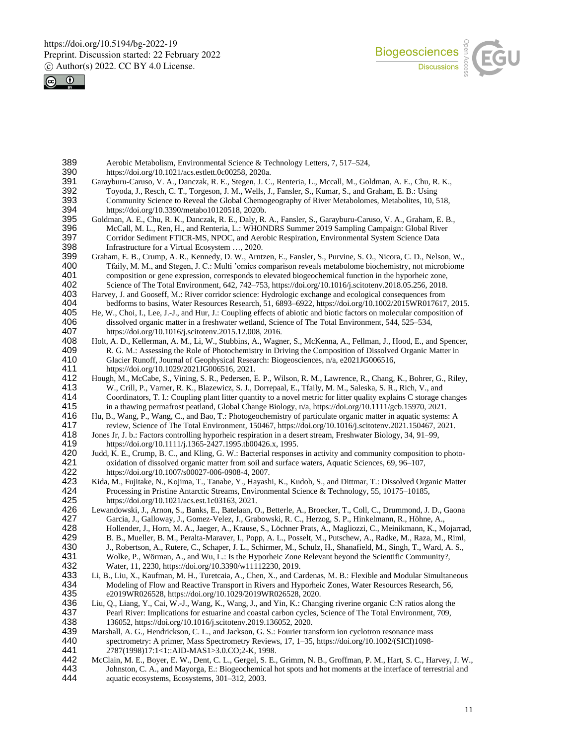



| 389<br>390        | Aerobic Metabolism, Environmental Science & Technology Letters, 7, 517-524,<br>https://doi.org/10.1021/acs.estlett.0c00258, 2020a.                                                                                                                                                                                           |
|-------------------|------------------------------------------------------------------------------------------------------------------------------------------------------------------------------------------------------------------------------------------------------------------------------------------------------------------------------|
| 391<br>392<br>393 | Garayburu-Caruso, V. A., Danczak, R. E., Stegen, J. C., Renteria, L., Mccall, M., Goldman, A. E., Chu, R. K.,<br>Toyoda, J., Resch, C. T., Torgeson, J. M., Wells, J., Fansler, S., Kumar, S., and Graham, E. B.: Using<br>Community Science to Reveal the Global Chemogeography of River Metabolomes, Metabolites, 10, 518, |
| 394               | https://doi.org/10.3390/metabo10120518, 2020b.                                                                                                                                                                                                                                                                               |
| 395               | Goldman, A. E., Chu, R. K., Danczak, R. E., Daly, R. A., Fansler, S., Garayburu-Caruso, V. A., Graham, E. B.,                                                                                                                                                                                                                |
| 396               | McCall, M. L., Ren, H., and Renteria, L.: WHONDRS Summer 2019 Sampling Campaign: Global River                                                                                                                                                                                                                                |
| 397               | Corridor Sediment FTICR-MS, NPOC, and Aerobic Respiration, Environmental System Science Data                                                                                                                                                                                                                                 |
| 398               | Infrastructure for a Virtual Ecosystem , 2020.                                                                                                                                                                                                                                                                               |
| 399               | Graham, E. B., Crump, A. R., Kennedy, D. W., Arntzen, E., Fansler, S., Purvine, S. O., Nicora, C. D., Nelson, W.,                                                                                                                                                                                                            |
| 400               | Tfaily, M. M., and Stegen, J. C.: Multi 'omics comparison reveals metabolome biochemistry, not microbiome                                                                                                                                                                                                                    |
| 401               | composition or gene expression, corresponds to elevated biogeochemical function in the hyporheic zone,                                                                                                                                                                                                                       |
| 402               | Science of The Total Environment, 642, 742–753, https://doi.org/10.1016/j.scitotenv.2018.05.256, 2018.                                                                                                                                                                                                                       |
| 403               | Harvey, J. and Gooseff, M.: River corridor science: Hydrologic exchange and ecological consequences from                                                                                                                                                                                                                     |
| 404<br>405        | bedforms to basins, Water Resources Research, 51, 6893-6922, https://doi.org/10.1002/2015WR017617, 2015.                                                                                                                                                                                                                     |
| 406               | He, W., Choi, I., Lee, J.-J., and Hur, J.: Coupling effects of abiotic and biotic factors on molecular composition of<br>dissolved organic matter in a freshwater wetland, Science of The Total Environment, 544, 525-534,                                                                                                   |
| 407               | https://doi.org/10.1016/j.scitotenv.2015.12.008, 2016.                                                                                                                                                                                                                                                                       |
| 408               | Holt, A. D., Kellerman, A. M., Li, W., Stubbins, A., Wagner, S., McKenna, A., Fellman, J., Hood, E., and Spencer,                                                                                                                                                                                                            |
| 409               | R. G. M.: Assessing the Role of Photochemistry in Driving the Composition of Dissolved Organic Matter in                                                                                                                                                                                                                     |
| 410               | Glacier Runoff, Journal of Geophysical Research: Biogeosciences, n/a, e2021JG006516,                                                                                                                                                                                                                                         |
| 411               | https://doi.org/10.1029/2021JG006516, 2021.                                                                                                                                                                                                                                                                                  |
| 412               | Hough, M., McCabe, S., Vining, S. R., Pedersen, E. P., Wilson, R. M., Lawrence, R., Chang, K., Bohrer, G., Riley,                                                                                                                                                                                                            |
| 413               | W., Crill, P., Varner, R. K., Blazewicz, S. J., Dorrepaal, E., Tfaily, M. M., Saleska, S. R., Rich, V., and                                                                                                                                                                                                                  |
| 414               | Coordinators, T. I.: Coupling plant litter quantity to a novel metric for litter quality explains C storage changes                                                                                                                                                                                                          |
| 415               | in a thawing permafrost peatland, Global Change Biology, n/a, https://doi.org/10.1111/gcb.15970, 2021.                                                                                                                                                                                                                       |
| 416<br>417        | Hu, B., Wang, P., Wang, C., and Bao, T.: Photogeochemistry of particulate organic matter in aquatic systems: A                                                                                                                                                                                                               |
| 418               | review, Science of The Total Environment, 150467, https://doi.org/10.1016/j.scitotenv.2021.150467, 2021.<br>Jones Jr, J. b.: Factors controlling hyporheic respiration in a desert stream, Freshwater Biology, 34, 91–99,                                                                                                    |
| 419               | https://doi.org/10.1111/j.1365-2427.1995.tb00426.x, 1995.                                                                                                                                                                                                                                                                    |
| 420               | Judd, K. E., Crump, B. C., and Kling, G. W.: Bacterial responses in activity and community composition to photo-                                                                                                                                                                                                             |
| 421               | oxidation of dissolved organic matter from soil and surface waters, Aquatic Sciences, 69, 96-107,                                                                                                                                                                                                                            |
| 422               | https://doi.org/10.1007/s00027-006-0908-4, 2007.                                                                                                                                                                                                                                                                             |
| 423               | Kida, M., Fujitake, N., Kojima, T., Tanabe, Y., Hayashi, K., Kudoh, S., and Dittmar, T.: Dissolved Organic Matter                                                                                                                                                                                                            |
| 424               | Processing in Pristine Antarctic Streams, Environmental Science & Technology, 55, 10175-10185,                                                                                                                                                                                                                               |
| 425               | https://doi.org/10.1021/acs.est.1c03163, 2021.                                                                                                                                                                                                                                                                               |
| 426               | Lewandowski, J., Arnon, S., Banks, E., Batelaan, O., Betterle, A., Broecker, T., Coll, C., Drummond, J. D., Gaona                                                                                                                                                                                                            |
| 427<br>428        | Garcia, J., Galloway, J., Gomez-Velez, J., Grabowski, R. C., Herzog, S. P., Hinkelmann, R., Höhne, A.,                                                                                                                                                                                                                       |
| 429               | Hollender, J., Horn, M. A., Jaeger, A., Krause, S., Löchner Prats, A., Magliozzi, C., Meinikmann, K., Mojarrad,<br>B. B., Mueller, B. M., Peralta-Maraver, I., Popp, A. L., Posselt, M., Putschew, A., Radke, M., Raza, M., Riml,                                                                                            |
| 430               | J., Robertson, A., Rutere, C., Schaper, J. L., Schirmer, M., Schulz, H., Shanafield, M., Singh, T., Ward, A. S.,                                                                                                                                                                                                             |
| 431               | Wolke, P., Wörman, A., and Wu, L.: Is the Hyporheic Zone Relevant beyond the Scientific Community?,                                                                                                                                                                                                                          |
| 432               | Water, 11, 2230, https://doi.org/10.3390/w11112230, 2019.                                                                                                                                                                                                                                                                    |
| 433               | Li, B., Liu, X., Kaufman, M. H., Turetcaia, A., Chen, X., and Cardenas, M. B.: Flexible and Modular Simultaneous                                                                                                                                                                                                             |
| 434               | Modeling of Flow and Reactive Transport in Rivers and Hyporheic Zones, Water Resources Research, 56,                                                                                                                                                                                                                         |
| 435               | e2019WR026528, https://doi.org/10.1029/2019WR026528, 2020.                                                                                                                                                                                                                                                                   |
| 436               | Liu, Q., Liang, Y., Cai, W.-J., Wang, K., Wang, J., and Yin, K.: Changing riverine organic C:N ratios along the                                                                                                                                                                                                              |
| 437               | Pearl River: Implications for estuarine and coastal carbon cycles, Science of The Total Environment, 709,                                                                                                                                                                                                                    |
| 438               | 136052, https://doi.org/10.1016/j.scitotenv.2019.136052, 2020.                                                                                                                                                                                                                                                               |
| 439<br>440        | Marshall, A. G., Hendrickson, C. L., and Jackson, G. S.: Fourier transform ion cyclotron resonance mass                                                                                                                                                                                                                      |
| 441               | spectrometry: A primer, Mass Spectrometry Reviews, 17, 1-35, https://doi.org/10.1002/(SICI)1098-<br>2787(1998)17:1<1::AID-MAS1>3.0.CO;2-K, 1998.                                                                                                                                                                             |
| 442               | McClain, M. E., Boyer, E. W., Dent, C. L., Gergel, S. E., Grimm, N. B., Groffman, P. M., Hart, S. C., Harvey, J. W.,                                                                                                                                                                                                         |
| 443               | Johnston, C. A., and Mayorga, E.: Biogeochemical hot spots and hot moments at the interface of terrestrial and                                                                                                                                                                                                               |
| 444               | aquatic ecosystems, Ecosystems, 301-312, 2003.                                                                                                                                                                                                                                                                               |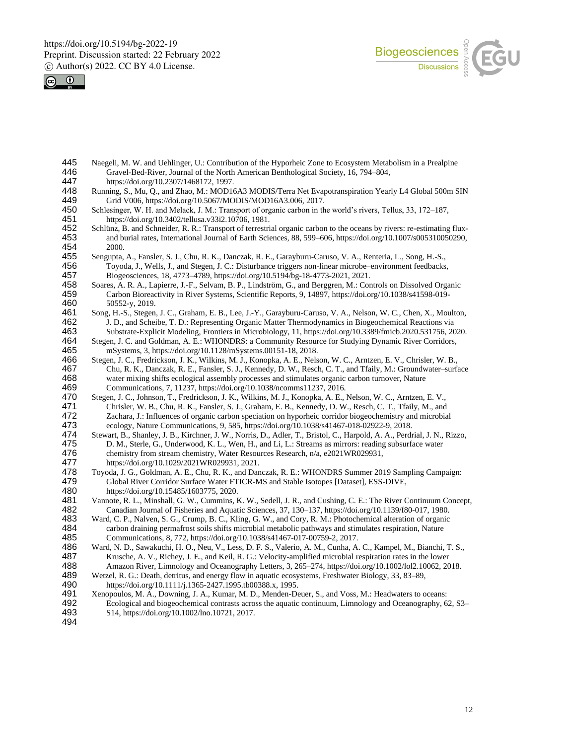



- 445 Naegeli, M. W. and Uehlinger, U.: Contribution of the Hyporheic Zone to Ecosystem Metabolism in a Prealpine<br>446 Gravel-Bed-River, Journal of the North American Benthological Society, 16, 794–804. 446 Gravel-Bed-River, Journal of the North American Benthological Society, 16, 794–804, 447 https://doi.org/10.2307/1468172, 1997.
- 447 https://doi.org/10.2307/1468172, 1997.<br>448 Running, S., Mu, O., and Zhao, M.: MOD16
- Running, S., Mu, Q., and Zhao, M.: MOD16A3 MODIS/Terra Net Evapotranspiration Yearly L4 Global 500m SIN 449 Grid V006, https://doi.org/10.5067/MODIS/MOD16A3.006, 2017.<br>450 Schlesinger, W. H. and Melack, J. M.: Transport of organic carbon in th
- 450 Schlesinger, W. H. and Melack, J. M.: Transport of organic carbon in the world's rivers, Tellus, 33, 172–187,<br>451 https://doi.org/10.3402/tellusa.v33i2.10706, 1981. 451 https://doi.org/10.3402/tellusa.v33i2.10706, 1981.<br>452 Schlünz, B. and Schneider, R. R.: Transport of terrestri
- 452 Schlünz, B. and Schneider, R. R.: Transport of terrestrial organic carbon to the oceans by rivers: re-estimating flux-<br>453 and burial rates, International Journal of Earth Sciences, 88, 599–606, https://doi.org/10.1007 453 and burial rates, International Journal of Earth Sciences, 88, 599–606, https://doi.org/10.1007/s005310050290, 454 2000.<br>455 Sengupta,
- 455 Sengupta, A., Fansler, S. J., Chu, R. K., Danczak, R. E., Garayburu-Caruso, V. A., Renteria, L., Song, H.-S., 456 Toyoda, J., Wells, J., and Stegen, J. C.: Disturbance triggers non-linear microbe–environment feedbacks,
- 457 Biogeosciences, 18, 4773–4789, https://doi.org/10.5194/bg-18-4773-2021, 2021.<br>458 Soares, A. R. A., Lapierre, J.-F., Selvam, B. P., Lindström, G., and Berggren, M.: Cor 458 Soares, A. R. A., Lapierre, J.-F., Selvam, B. P., Lindström, G., and Berggren, M.: Controls on Dissolved Organic 459 Carbon Bioreactivity in River Systems, Scientific Reports, 9, 14897, https://doi.org/10.1038/s41598-019-
- 460 50552-y, 2019.<br>461 Song, H.-S., Stegen Song, H.-S., Stegen, J. C., Graham, E. B., Lee, J.-Y., Garayburu-Caruso, V. A., Nelson, W. C., Chen, X., Moulton, 462 J. D., and Scheibe, T. D.: Representing Organic Matter Thermodynamics in Biogeochemical Reactions via
- 463 Substrate-Explicit Modeling, Frontiers in Microbiology, 11, https://doi.org/10.3389/fmicb.2020.531756, 2020.<br>464 Stegen, J. C. and Goldman, A. E.: WHONDRS: a Community Resource for Studying Dynamic River Corridors, 464 Stegen, J. C. and Goldman, A. E.: WHONDRS: a Community Resource for Studying Dynamic River Corridors,<br>465 mSystems, 3. https://doi.org/10.1128/mSystems.00151-18, 2018.
- 465 mSystems, 3, https://doi.org/10.1128/mSystems.00151-18, 2018. 466 Stegen, J. C., Fredrickson, J. K., Wilkins, M. J., Konopka, A. E., Nelson, W. C., Arntzen, E. V., Chrisler, W. B., 467 Chu, R. K., Danczak, R. E., Fansler, S. J., Kennedy, D. W., Resch, C. T., and Tfaily, M.: Groundwater–surface<br>468 water mixing shifts ecological assembly processes and stimulates organic carbon turnover, Nature water mixing shifts ecological assembly processes and stimulates organic carbon turnover, Nature 469 Communications, 7, 11237, https://doi.org/10.1038/ncomms11237, 2016.
- 470 Stegen, J. C., Johnson, T., Fredrickson, J. K., Wilkins, M. J., Konopka, A. E., Nelson, W. C., Arntzen, E. V., 471 Chrisler, W. B., Chu, R. K., Fansler, S. J., Graham, E. B., Kennedy, D. W., Resch, C. T., Tfaily, M., and<br>472 Zachara, J.: Influences of organic carbon speciation on hyporheic corridor biogeochemistry and microbia 472 Zachara, J.: Influences of organic carbon speciation on hyporheic corridor biogeochemistry and microbial 473 ecology. Nature Communications. 9. 585. https://doi.org/10.1038/s41467-018-02922-9. 2018. 473 ecology, Nature Communications, 9, 585, https://doi.org/10.1038/s41467-018-02922-9, 2018.
- 474 Stewart, B., Shanley, J. B., Kirchner, J. W., Norris, D., Adler, T., Bristol, C., Harpold, A. A., Perdrial, J. N., Rizzo, 475 D. M., Sterle, G., Underwood, K. L., Wen, H., and Li, L.: Streams as mirrors: reading subsurface water<br>476 chemistry from stream chemistry, Water Resources Research, n/a, e2021WR029931, 476 chemistry from stream chemistry, Water Resources Research, n/a, e2021WR029931, 477 https://doi.org/10.1029/2021WR029931, 2021.
- 477 https://doi.org/10.1029/2021WR029931, 2021.<br>478 Toyoda, J. G., Goldman, A. E., Chu, R. K., and Dan 478 Toyoda, J. G., Goldman, A. E., Chu, R. K., and Danczak, R. E.: WHONDRS Summer 2019 Sampling Campaign:<br>479 Global River Corridor Surface Water FTICR-MS and Stable Isotopes [Dataset], ESS-DIVE, 479 Global River Corridor Surface Water FTICR-MS and Stable Isotopes [Dataset], ESS-DIVE, 480 https://doi.org/10.15485/1603775, 2020.
- 481 Vannote, R. L., Minshall, G. W., Cummins, K. W., Sedell, J. R., and Cushing, C. E.: The River Continuum Concept, 482 Canadian Journal of Fisheries and Aquatic Sciences, 37, 130–137, https://doi.org/10.1139/f80-017, 1980.
- 483 Ward, C. P., Nalven, S. G., Crump, B. C., Kling, G. W., and Cory, R. M.: Photochemical alteration of organic 484 carbon draining permafrost soils shifts microbial metabolic pathways and stimulates respiration, Nature 485 Communications, 8, 772, https://doi.org/10.1038/s41467-017-00759-2, 2017.
- 486 Ward, N. D., Sawakuchi, H. O., Neu, V., Less, D. F. S., Valerio, A. M., Cunha, A. C., Kampel, M., Bianchi, T. S., 487 Krusche. A. V., Richev. J. E., and Keil. R. G.: Velocity-amplified microbial respiration rates in th Krusche, A. V., Richey, J. E., and Keil, R. G.: Velocity-amplified microbial respiration rates in the lower 488 Amazon River, Limnology and Oceanography Letters, 3, 265–274, https://doi.org/10.1002/lol2.10062, 2018.
- 489 Wetzel, R. G.: Death, detritus, and energy flow in aquatic ecosystems, Freshwater Biology, 33, 83–89, https://doi.org/10.1111/j.1365-2427.1995.tb00388.x, 1995.
- 490 https://doi.org/10.1111/j.1365-2427.1995.tb00388.x, 1995.<br>491 Xenopoulos, M. A., Downing, J. A., Kumar, M. D., Menden-D
- 491 Xenopoulos, M. A., Downing, J. A., Kumar, M. D., Menden-Deuer, S., and Voss, M.: Headwaters to oceans:<br>492 Ecological and biogeochemical contrasts across the aquatic continuum, Limnology and Oceanography, 6 Ecological and biogeochemical contrasts across the aquatic continuum, Limnology and Oceanography, 62, S3– 493 S14, https://doi.org/10.1002/lno.10721, 2017.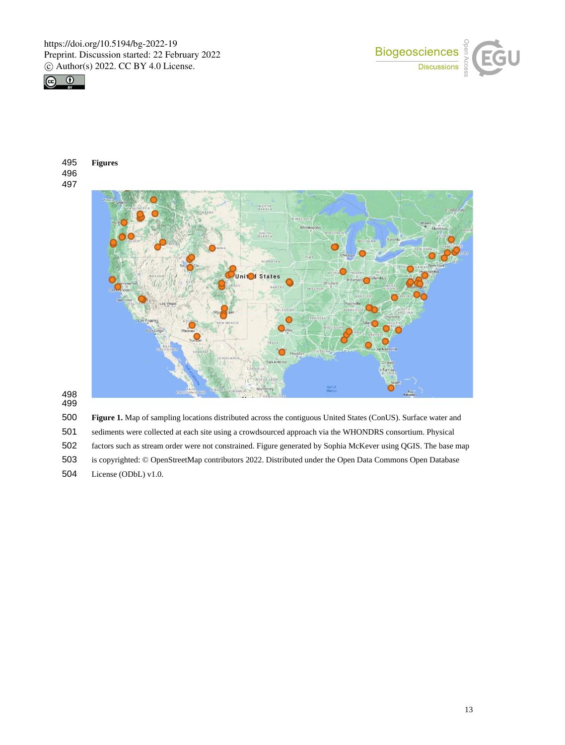

**Figures**

 





 

**Figure 1.** Map of sampling locations distributed across the contiguous United States (ConUS). Surface water and

sediments were collected at each site using a crowdsourced approach via the WHONDRS consortium. Physical

factors such as stream order were not constrained. Figure generated by Sophia McKever using QGIS. The base map

is copyrighted: © OpenStreetMap contributors 2022. Distributed under the Open Data Commons Open Database

License (ODbL) v1.0.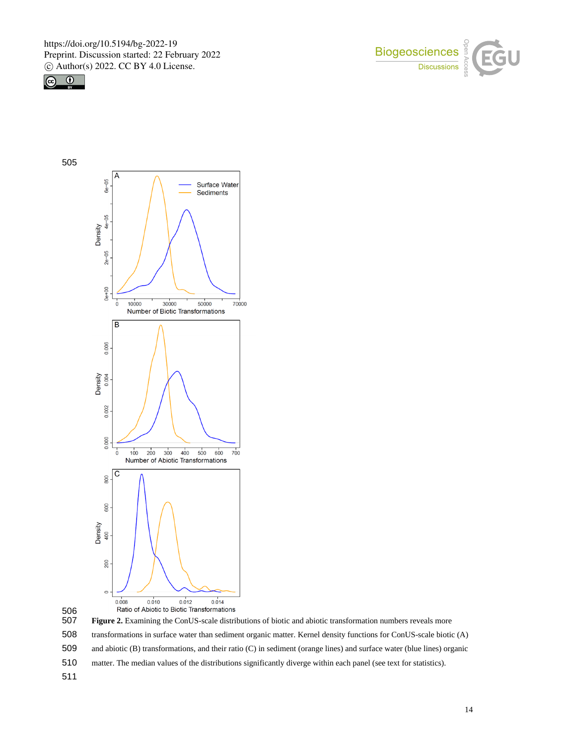







- matter. The median values of the distributions significantly diverge within each panel (see text for statistics).
-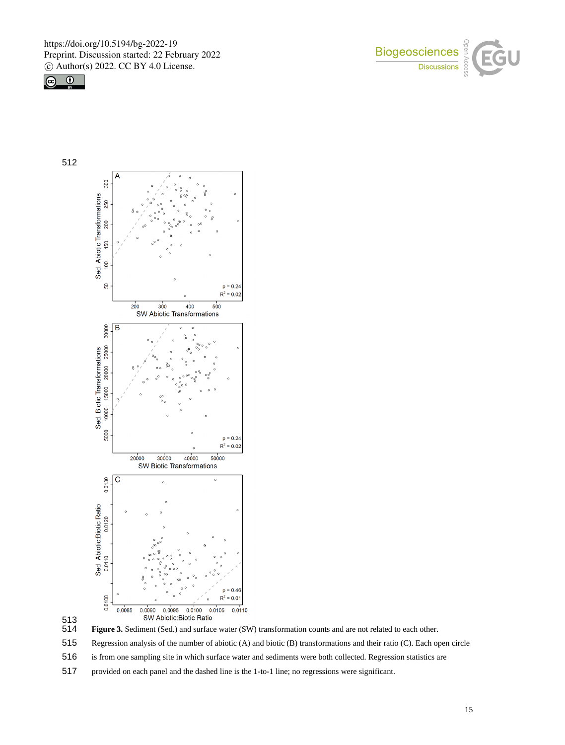







513<br>514 Figure 3. Sediment (Sed.) and surface water (SW) transformation counts and are not related to each other.

515 Regression analysis of the number of abiotic (A) and biotic (B) transformations and their ratio (C). Each open circle

516 is from one sampling site in which surface water and sediments were both collected. Regression statistics are

517 provided on each panel and the dashed line is the 1-to-1 line; no regressions were significant.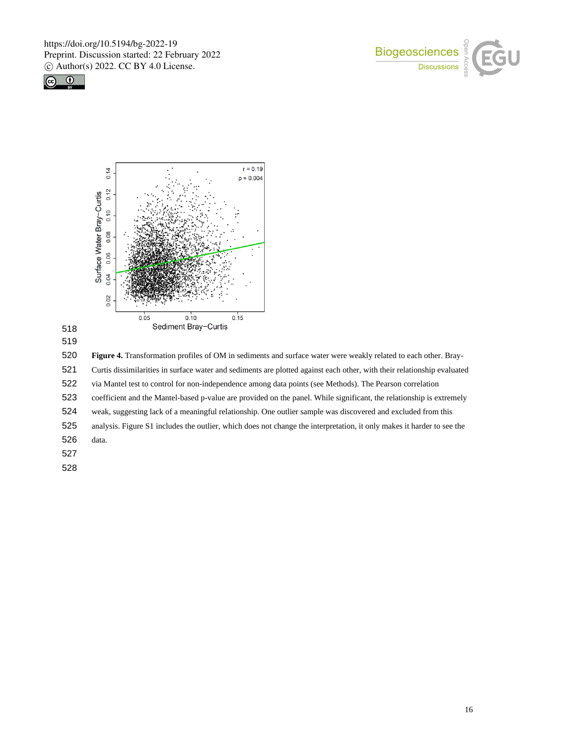







**Figure 4.** Transformation profiles of OM in sediments and surface water were weakly related to each other. Bray-

Curtis dissimilarities in surface water and sediments are plotted against each other, with their relationship evaluated

via Mantel test to control for non-independence among data points (see Methods). The Pearson correlation

coefficient and the Mantel-based p-value are provided on the panel. While significant, the relationship is extremely

weak, suggesting lack of a meaningful relationship. One outlier sample was discovered and excluded from this

analysis. Figure S1 includes the outlier, which does not change the interpretation, it only makes it harder to see the

data.